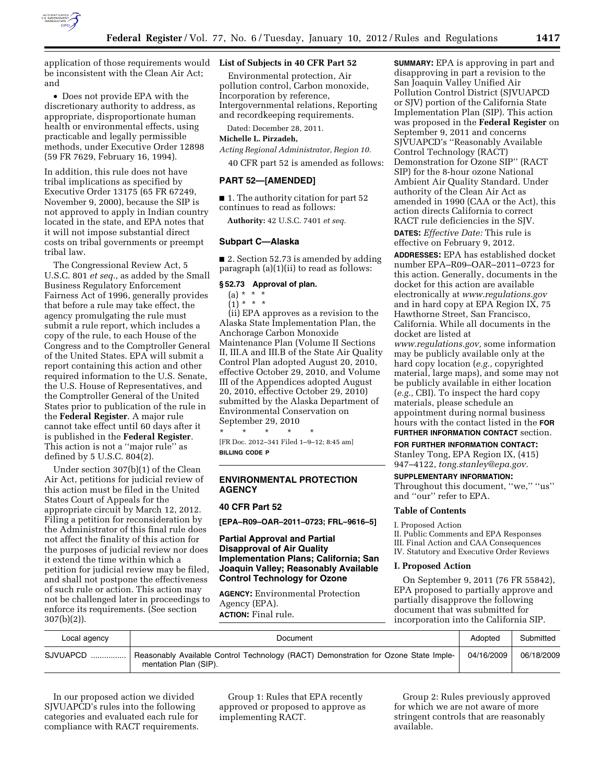

application of those requirements would **List of Subjects in 40 CFR Part 52**  be inconsistent with the Clean Air Act; and

• Does not provide EPA with the discretionary authority to address, as appropriate, disproportionate human health or environmental effects, using practicable and legally permissible methods, under Executive Order 12898 (59 FR 7629, February 16, 1994).

In addition, this rule does not have tribal implications as specified by Executive Order 13175 (65 FR 67249, November 9, 2000), because the SIP is not approved to apply in Indian country located in the state, and EPA notes that it will not impose substantial direct costs on tribal governments or preempt tribal law.

The Congressional Review Act, 5 U.S.C. 801 *et seq.,* as added by the Small Business Regulatory Enforcement Fairness Act of 1996, generally provides that before a rule may take effect, the agency promulgating the rule must submit a rule report, which includes a copy of the rule, to each House of the Congress and to the Comptroller General of the United States. EPA will submit a report containing this action and other required information to the U.S. Senate, the U.S. House of Representatives, and the Comptroller General of the United States prior to publication of the rule in the **Federal Register**. A major rule cannot take effect until 60 days after it is published in the **Federal Register**. This action is not a ''major rule'' as defined by 5 U.S.C. 804(2).

Under section 307(b)(1) of the Clean Air Act, petitions for judicial review of this action must be filed in the United States Court of Appeals for the appropriate circuit by March 12, 2012. Filing a petition for reconsideration by the Administrator of this final rule does not affect the finality of this action for the purposes of judicial review nor does it extend the time within which a petition for judicial review may be filed, and shall not postpone the effectiveness of such rule or action. This action may not be challenged later in proceedings to enforce its requirements. (See section 307(b)(2)).

Environmental protection, Air pollution control, Carbon monoxide, Incorporation by reference, Intergovernmental relations, Reporting and recordkeeping requirements.

Dated: December 28, 2011.

## **Michelle L. Pirzadeh,**

*Acting Regional Administrator, Region 10.* 

40 CFR part 52 is amended as follows:

## **PART 52—[AMENDED]**

■ 1. The authority citation for part 52 continues to read as follows:

**Authority:** 42 U.S.C. 7401 *et seq.* 

## **Subpart C—Alaska**

■ 2. Section 52.73 is amended by adding paragraph (a)(1)(ii) to read as follows:

#### **§ 52.73 Approval of plan.**

 $(a) * *$ 

 $\binom{7}{1}$  \* \* \* (ii) EPA approves as a revision to the Alaska State Implementation Plan, the Anchorage Carbon Monoxide Maintenance Plan (Volume II Sections II, III.A and III.B of the State Air Quality Control Plan adopted August 20, 2010, effective October 29, 2010, and Volume III of the Appendices adopted August 20, 2010, effective October 29, 2010) submitted by the Alaska Department of Environmental Conservation on September 29, 2010

\* \* \* \* \* [FR Doc. 2012–341 Filed 1–9–12; 8:45 am] **BILLING CODE P** 

## **ENVIRONMENTAL PROTECTION AGENCY**

## **40 CFR Part 52**

**[EPA–R09–OAR–2011–0723; FRL–9616–5]** 

# **Partial Approval and Partial Disapproval of Air Quality Implementation Plans; California; San Joaquin Valley; Reasonably Available Control Technology for Ozone**

**AGENCY:** Environmental Protection Agency (EPA). **ACTION:** Final rule.

**SUMMARY:** EPA is approving in part and disapproving in part a revision to the San Joaquin Valley Unified Air Pollution Control District (SJVUAPCD or SJV) portion of the California State Implementation Plan (SIP). This action was proposed in the **Federal Register** on September 9, 2011 and concerns SJVUAPCD's ''Reasonably Available Control Technology (RACT) Demonstration for Ozone SIP'' (RACT SIP) for the 8-hour ozone National Ambient Air Quality Standard. Under authority of the Clean Air Act as amended in 1990 (CAA or the Act), this action directs California to correct RACT rule deficiencies in the SJV.

**DATES:** *Effective Date:* This rule is effective on February 9, 2012.

**ADDRESSES:** EPA has established docket number EPA–R09–OAR–2011–0723 for this action. Generally, documents in the docket for this action are available electronically at *[www.regulations.gov](http://www.regulations.gov)*  and in hard copy at EPA Region IX, 75 Hawthorne Street, San Francisco, California. While all documents in the docket are listed at

*[www.regulations.gov,](http://www.regulations.gov)* some information may be publicly available only at the hard copy location (*e.g.,* copyrighted material, large maps), and some may not be publicly available in either location (*e.g.,* CBI). To inspect the hard copy materials, please schedule an appointment during normal business hours with the contact listed in the **FOR FURTHER INFORMATION CONTACT** section.

#### **FOR FURTHER INFORMATION CONTACT:**

Stanley Tong, EPA Region IX, (415) 947–4122, *[tong.stanley@epa.gov.](mailto:tong.stanley@epa.gov)* 

#### **SUPPLEMENTARY INFORMATION:**

Throughout this document, "we," "us" and ''our'' refer to EPA.

## **Table of Contents**

I. Proposed Action

II. Public Comments and EPA Responses III. Final Action and CAA Consequences IV. Statutory and Executive Order Reviews

#### **I. Proposed Action**

On September 9, 2011 (76 FR 55842), EPA proposed to partially approve and partially disapprove the following document that was submitted for incorporation into the California SIP.

| Local agency  | Document                                                                                                                    |  | Submitted  |
|---------------|-----------------------------------------------------------------------------------------------------------------------------|--|------------|
| SJVUAPCD<br>. | Reasonably Available Control Technology (RACT) Demonstration for Ozone State Imple-<br>04/16/2009丨<br>mentation Plan (SIP). |  | 06/18/2009 |

In our proposed action we divided SJVUAPCD's rules into the following categories and evaluated each rule for compliance with RACT requirements.

Group 1: Rules that EPA recently approved or proposed to approve as implementing RACT.

Group 2: Rules previously approved for which we are not aware of more stringent controls that are reasonably available.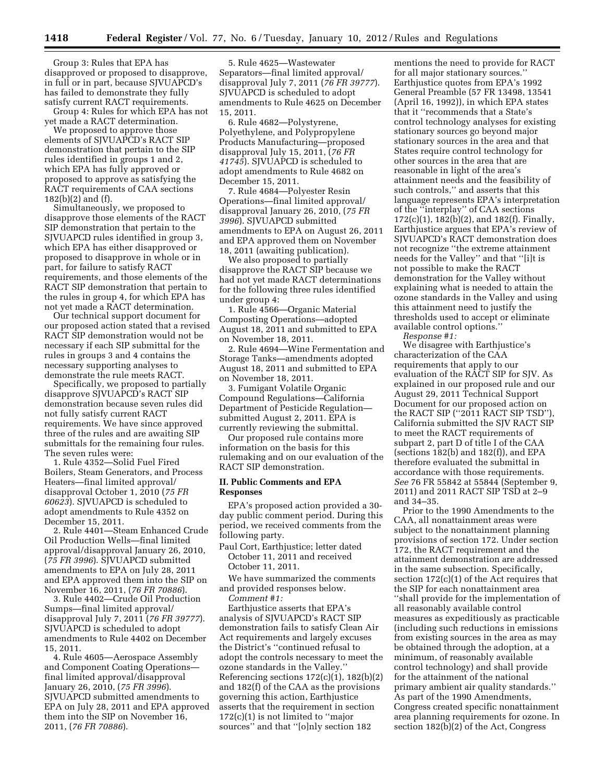Group 3: Rules that EPA has disapproved or proposed to disapprove, in full or in part, because SJVUAPCD's has failed to demonstrate they fully satisfy current RACT requirements.

Group 4: Rules for which EPA has not yet made a RACT determination.

We proposed to approve those elements of SJVUAPCD's RACT SIP demonstration that pertain to the SIP rules identified in groups 1 and 2, which EPA has fully approved or proposed to approve as satisfying the RACT requirements of CAA sections 182(b)(2) and (f).

Simultaneously, we proposed to disapprove those elements of the RACT SIP demonstration that pertain to the SJVUAPCD rules identified in group 3, which EPA has either disapproved or proposed to disapprove in whole or in part, for failure to satisfy RACT requirements, and those elements of the RACT SIP demonstration that pertain to the rules in group 4, for which EPA has not yet made a RACT determination.

Our technical support document for our proposed action stated that a revised RACT SIP demonstration would not be necessary if each SIP submittal for the rules in groups 3 and 4 contains the necessary supporting analyses to demonstrate the rule meets RACT.

Specifically, we proposed to partially disapprove SJVUAPCD's RACT SIP demonstration because seven rules did not fully satisfy current RACT requirements. We have since approved three of the rules and are awaiting SIP submittals for the remaining four rules. The seven rules were:

1. Rule 4352—Solid Fuel Fired Boilers, Steam Generators, and Process Heaters—final limited approval/ disapproval October 1, 2010 (*75 FR 60623*). SJVUAPCD is scheduled to adopt amendments to Rule 4352 on December 15, 2011.

2. Rule 4401—Steam Enhanced Crude Oil Production Wells—final limited approval/disapproval January 26, 2010, (*75 FR 3996*). SJVUAPCD submitted amendments to EPA on July 28, 2011 and EPA approved them into the SIP on November 16, 2011, (*76 FR 70886*).

3. Rule 4402—Crude Oil Production Sumps—final limited approval/ disapproval July 7, 2011 (*76 FR 39777*). SJVUAPCD is scheduled to adopt amendments to Rule 4402 on December 15, 2011.

4. Rule 4605—Aerospace Assembly and Component Coating Operations final limited approval/disapproval January 26, 2010, (*75 FR 3996*). SJVUAPCD submitted amendments to EPA on July 28, 2011 and EPA approved them into the SIP on November 16, 2011, (*76 FR 70886*).

5. Rule 4625—Wastewater Separators—final limited approval/ disapproval July 7, 2011 (*76 FR 39777*). SJVUAPCD is scheduled to adopt amendments to Rule 4625 on December 15, 2011.

6. Rule 4682—Polystyrene, Polyethylene, and Polypropylene Products Manufacturing—proposed disapproval July 15, 2011, (*76 FR 41745*). SJVUAPCD is scheduled to adopt amendments to Rule 4682 on December 15, 2011.

7. Rule 4684—Polyester Resin Operations—final limited approval/ disapproval January 26, 2010, (*75 FR 3996*). SJVUAPCD submitted amendments to EPA on August 26, 2011 and EPA approved them on November 18, 2011 (awaiting publication).

We also proposed to partially disapprove the RACT SIP because we had not yet made RACT determinations for the following three rules identified under group 4:

1. Rule 4566—Organic Material Composting Operations—adopted August 18, 2011 and submitted to EPA on November 18, 2011.

2. Rule 4694—Wine Fermentation and Storage Tanks—amendments adopted August 18, 2011 and submitted to EPA on November 18, 2011.

3. Fumigant Volatile Organic Compound Regulations—California Department of Pesticide Regulation submitted August 2, 2011. EPA is currently reviewing the submittal.

Our proposed rule contains more information on the basis for this rulemaking and on our evaluation of the RACT SIP demonstration.

## **II. Public Comments and EPA Responses**

EPA's proposed action provided a 30 day public comment period. During this period, we received comments from the following party.

- Paul Cort, Earthjustice; letter dated October 11, 2011 and received October 11, 2011.
- We have summarized the comments and provided responses below. *Comment #1:*

Earthjustice asserts that EPA's analysis of SJVUAPCD's RACT SIP demonstration fails to satisfy Clean Air Act requirements and largely excuses the District's ''continued refusal to adopt the controls necessary to meet the ozone standards in the Valley. Referencing sections  $172(c)(1)$ ,  $182(b)(2)$ and 182(f) of the CAA as the provisions governing this action, Earthjustice asserts that the requirement in section  $172(c)(1)$  is not limited to "major sources'' and that ''[o]nly section 182

mentions the need to provide for RACT for all major stationary sources.'' Earthjustice quotes from EPA's 1992 General Preamble (57 FR 13498, 13541 (April 16, 1992)), in which EPA states that it ''recommends that a State's control technology analyses for existing stationary sources go beyond major stationary sources in the area and that States require control technology for other sources in the area that are reasonable in light of the area's attainment needs and the feasibility of such controls,'' and asserts that this language represents EPA's interpretation of the ''interplay'' of CAA sections 172(c)(1), 182(b)(2), and 182(f). Finally, Earthjustice argues that EPA's review of SJVUAPCD's RACT demonstration does not recognize ''the extreme attainment needs for the Valley'' and that ''[i]t is not possible to make the RACT demonstration for the Valley without explaining what is needed to attain the ozone standards in the Valley and using this attainment need to justify the thresholds used to accept or eliminate available control options.''

*Response #1:*  We disagree with Earthjustice's characterization of the CAA requirements that apply to our evaluation of the RACT SIP for SJV. As explained in our proposed rule and our August 29, 2011 Technical Support Document for our proposed action on the RACT SIP (''2011 RACT SIP TSD''), California submitted the SJV RACT SIP to meet the RACT requirements of subpart 2, part D of title I of the CAA (sections  $182(b)$  and  $182(f)$ ), and EPA therefore evaluated the submittal in accordance with those requirements. *See* 76 FR 55842 at 55844 (September 9, 2011) and 2011 RACT SIP TSD at 2–9 and 34–35.

Prior to the 1990 Amendments to the CAA, all nonattainment areas were subject to the nonattainment planning provisions of section 172. Under section 172, the RACT requirement and the attainment demonstration are addressed in the same subsection. Specifically, section 172(c)(1) of the Act requires that the SIP for each nonattainment area ''shall provide for the implementation of all reasonably available control measures as expeditiously as practicable (including such reductions in emissions from existing sources in the area as may be obtained through the adoption, at a minimum, of reasonably available control technology) and shall provide for the attainment of the national primary ambient air quality standards.'' As part of the 1990 Amendments, Congress created specific nonattainment area planning requirements for ozone. In section 182(b)(2) of the Act, Congress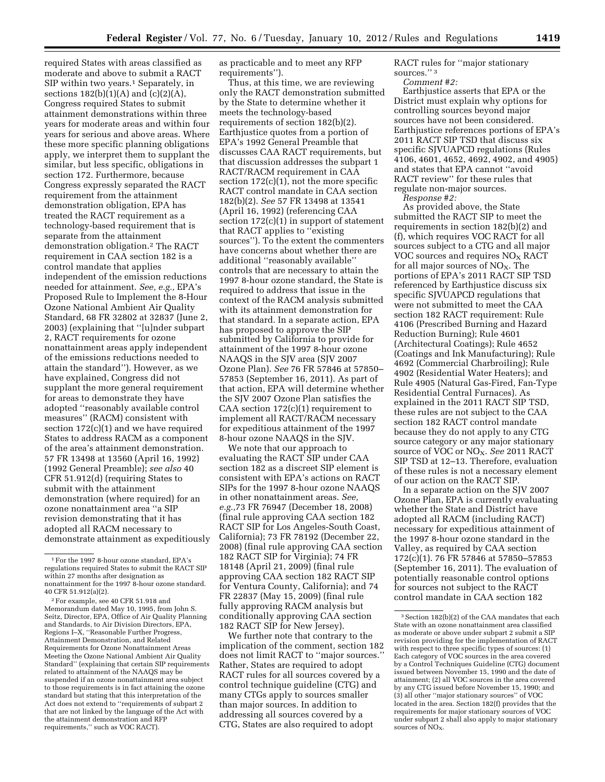required States with areas classified as moderate and above to submit a RACT SIP within two years.<sup>1</sup> Separately, in sections  $182(b)(1)(A)$  and  $(c)(2)(A)$ , Congress required States to submit attainment demonstrations within three years for moderate areas and within four years for serious and above areas. Where these more specific planning obligations apply, we interpret them to supplant the similar, but less specific, obligations in section 172. Furthermore, because Congress expressly separated the RACT requirement from the attainment demonstration obligation, EPA has treated the RACT requirement as a technology-based requirement that is separate from the attainment demonstration obligation.2 The RACT requirement in CAA section 182 is a control mandate that applies independent of the emission reductions needed for attainment. *See, e.g.,* EPA's Proposed Rule to Implement the 8-Hour Ozone National Ambient Air Quality Standard, 68 FR 32802 at 32837 (June 2, 2003) (explaining that ''[u]nder subpart 2, RACT requirements for ozone nonattainment areas apply independent of the emissions reductions needed to attain the standard''). However, as we have explained, Congress did not supplant the more general requirement for areas to demonstrate they have adopted ''reasonably available control measures'' (RACM) consistent with section 172(c)(1) and we have required States to address RACM as a component of the area's attainment demonstration. 57 FR 13498 at 13560 (April 16, 1992) (1992 General Preamble); *see also* 40 CFR 51.912(d) (requiring States to submit with the attainment

demonstration (where required) for an ozone nonattainment area ''a SIP revision demonstrating that it has adopted all RACM necessary to demonstrate attainment as expeditiously as practicable and to meet any RFP requirements'').

Thus, at this time, we are reviewing only the RACT demonstration submitted by the State to determine whether it meets the technology-based requirements of section 182(b)(2). Earthjustice quotes from a portion of EPA's 1992 General Preamble that discusses CAA RACT requirements, but that discussion addresses the subpart 1 RACT/RACM requirement in CAA section  $172(c)(1)$ , not the more specific RACT control mandate in CAA section 182(b)(2). *See* 57 FR 13498 at 13541 (April 16, 1992) (referencing CAA section 172(c)(1) in support of statement that RACT applies to ''existing sources''). To the extent the commenters have concerns about whether there are additional ''reasonably available'' controls that are necessary to attain the 1997 8-hour ozone standard, the State is required to address that issue in the context of the RACM analysis submitted with its attainment demonstration for that standard. In a separate action, EPA has proposed to approve the SIP submitted by California to provide for attainment of the 1997 8-hour ozone NAAQS in the SJV area (SJV 2007 Ozone Plan). *See* 76 FR 57846 at 57850– 57853 (September 16, 2011). As part of that action, EPA will determine whether the SJV 2007 Ozone Plan satisfies the CAA section  $172(c)(1)$  requirement to implement all RACT/RACM necessary for expeditious attainment of the 1997 8-hour ozone NAAQS in the SJV.

We note that our approach to evaluating the RACT SIP under CAA section 182 as a discreet SIP element is consistent with EPA's actions on RACT SIPs for the 1997 8-hour ozone NAAQS in other nonattainment areas. *See, e.g.,*73 FR 76947 (December 18, 2008) (final rule approving CAA section 182 RACT SIP for Los Angeles-South Coast, California); 73 FR 78192 (December 22, 2008) (final rule approving CAA section 182 RACT SIP for Virginia); 74 FR 18148 (April 21, 2009) (final rule approving CAA section 182 RACT SIP for Ventura County, California); and 74 FR 22837 (May 15, 2009) (final rule fully approving RACM analysis but conditionally approving CAA section 182 RACT SIP for New Jersey).

We further note that contrary to the implication of the comment, section 182 does not limit RACT to ''major sources.'' Rather, States are required to adopt RACT rules for all sources covered by a control technique guideline (CTG) and many CTGs apply to sources smaller than major sources. In addition to addressing all sources covered by a CTG, States are also required to adopt

RACT rules for ''major stationary sources.'' 3

*Comment #2:* 

Earthjustice asserts that EPA or the District must explain why options for controlling sources beyond major sources have not been considered. Earthjustice references portions of EPA's 2011 RACT SIP TSD that discuss six specific SJVUAPCD regulations (Rules 4106, 4601, 4652, 4692, 4902, and 4905) and states that EPA cannot ''avoid RACT review'' for these rules that regulate non-major sources.

*Response #2:* 

As provided above, the State submitted the RACT SIP to meet the requirements in section 182(b)(2) and (f), which requires VOC RACT for all sources subject to a CTG and all major VOC sources and requires  $NO<sub>x</sub> RACT$ for all major sources of  $NO<sub>X</sub>$ . The portions of EPA's 2011 RACT SIP TSD referenced by Earthjustice discuss six specific SJVUAPCD regulations that were not submitted to meet the CAA section 182 RACT requirement: Rule 4106 (Prescribed Burning and Hazard Reduction Burning); Rule 4601 (Architectural Coatings); Rule 4652 (Coatings and Ink Manufacturing); Rule 4692 (Commercial Charbroiling); Rule 4902 (Residential Water Heaters); and Rule 4905 (Natural Gas-Fired, Fan-Type Residential Central Furnaces). As explained in the 2011 RACT SIP TSD, these rules are not subject to the CAA section 182 RACT control mandate because they do not apply to any CTG source category or any major stationary source of VOC or NO<sub>X</sub>. See 2011 RACT SIP TSD at 12–13. Therefore, evaluation of these rules is not a necessary element of our action on the RACT SIP.

In a separate action on the SJV 2007 Ozone Plan, EPA is currently evaluating whether the State and District have adopted all RACM (including RACT) necessary for expeditious attainment of the 1997 8-hour ozone standard in the Valley, as required by CAA section 172(c)(1). 76 FR 57846 at 57850–57853 (September 16, 2011). The evaluation of potentially reasonable control options for sources not subject to the RACT control mandate in CAA section 182

<sup>1</sup>For the 1997 8-hour ozone standard, EPA's regulations required States to submit the RACT SIP within 27 months after designation as nonattainment for the 1997 8-hour ozone standard. 40 CFR 51.912(a)(2).

<sup>2</sup>For example, see 40 CFR 51.918 and Memorandum dated May 10, 1995, from John S. Seitz, Director, EPA, Office of Air Quality Planning and Standards, to Air Division Directors, EPA, Regions I–X, ''Reasonable Further Progress, Attainment Demonstration, and Related Requirements for Ozone Nonattainment Areas Meeting the Ozone National Ambient Air Quality Standard'' (explaining that certain SIP requirements related to attainment of the NAAQS may be suspended if an ozone nonattainment area subject to those requirements is in fact attaining the ozone standard but stating that this interpretation of the Act does not extend to ''requirements of subpart 2 that are not linked by the language of the Act with the attainment demonstration and RFP requirements,'' such as VOC RACT).

<sup>3</sup>Section 182(b)(2) of the CAA mandates that each State with an ozone nonattainment area classified as moderate or above under subpart 2 submit a SIP revision providing for the implementation of RACT with respect to three specific types of sources: (1) Each category of VOC sources in the area covered by a Control Techniques Guideline (CTG) document issued between November 15, 1990 and the date of attainment; (2) all VOC sources in the area covered by any CTG issued before November 15, 1990; and (3) all other ''major stationary sources'' of VOC located in the area. Section 182(f) provides that the requirements for major stationary sources of VOC under subpart 2 shall also apply to major stationary sources of  $NO<sub>x</sub>$ .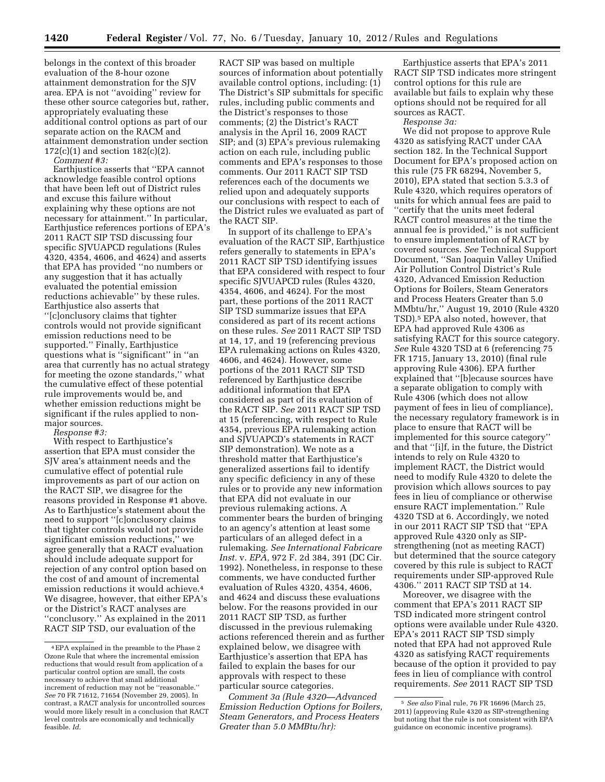belongs in the context of this broader evaluation of the 8-hour ozone attainment demonstration for the SJV area. EPA is not ''avoiding'' review for these other source categories but, rather, appropriately evaluating these additional control options as part of our separate action on the RACM and attainment demonstration under section 172(c)(1) and section 182(c)(2).

*Comment #3:*  Earthjustice asserts that ''EPA cannot acknowledge feasible control options that have been left out of District rules and excuse this failure without explaining why these options are not necessary for attainment.'' In particular, Earthjustice references portions of EPA's 2011 RACT SIP TSD discussing four specific SJVUAPCD regulations (Rules 4320, 4354, 4606, and 4624) and asserts that EPA has provided ''no numbers or any suggestion that it has actually evaluated the potential emission reductions achievable'' by these rules. Earthjustice also asserts that ''[c]onclusory claims that tighter controls would not provide significant emission reductions need to be supported.'' Finally, Earthjustice questions what is ''significant'' in ''an area that currently has no actual strategy for meeting the ozone standards,'' what the cumulative effect of these potential rule improvements would be, and whether emission reductions might be significant if the rules applied to nonmajor sources.

*Response #3:* 

With respect to Earthjustice's assertion that EPA must consider the SJV area's attainment needs and the cumulative effect of potential rule improvements as part of our action on the RACT SIP, we disagree for the reasons provided in Response #1 above. As to Earthjustice's statement about the need to support ''[c]onclusory claims that tighter controls would not provide significant emission reductions,'' we agree generally that a RACT evaluation should include adequate support for rejection of any control option based on the cost of and amount of incremental emission reductions it would achieve.4 We disagree, however, that either EPA's or the District's RACT analyses are ''conclusory.'' As explained in the 2011 RACT SIP TSD, our evaluation of the

RACT SIP was based on multiple sources of information about potentially available control options, including: (1) The District's SIP submittals for specific rules, including public comments and the District's responses to those comments; (2) the District's RACT analysis in the April 16, 2009 RACT SIP; and (3) EPA's previous rulemaking action on each rule, including public comments and EPA's responses to those comments. Our 2011 RACT SIP TSD references each of the documents we relied upon and adequately supports our conclusions with respect to each of the District rules we evaluated as part of the RACT SIP.

In support of its challenge to EPA's evaluation of the RACT SIP, Earthjustice refers generally to statements in EPA's 2011 RACT SIP TSD identifying issues that EPA considered with respect to four specific SJVUAPCD rules (Rules 4320, 4354, 4606, and 4624). For the most part, these portions of the 2011 RACT SIP TSD summarize issues that EPA considered as part of its recent actions on these rules. *See* 2011 RACT SIP TSD at 14, 17, and 19 (referencing previous EPA rulemaking actions on Rules 4320, 4606, and 4624). However, some portions of the 2011 RACT SIP TSD referenced by Earthjustice describe additional information that EPA considered as part of its evaluation of the RACT SIP. *See* 2011 RACT SIP TSD at 15 (referencing, with respect to Rule 4354, previous EPA rulemaking action and SJVUAPCD's statements in RACT SIP demonstration). We note as a threshold matter that Earthjustice's generalized assertions fail to identify any specific deficiency in any of these rules or to provide any new information that EPA did not evaluate in our previous rulemaking actions. A commenter bears the burden of bringing to an agency's attention at least some particulars of an alleged defect in a rulemaking. *See International Fabricare Inst.* v. *EPA,* 972 F. 2d 384, 391 (DC Cir. 1992). Nonetheless, in response to these comments, we have conducted further evaluation of Rules 4320, 4354, 4606, and 4624 and discuss these evaluations below. For the reasons provided in our 2011 RACT SIP TSD, as further discussed in the previous rulemaking actions referenced therein and as further explained below, we disagree with Earthjustice's assertion that EPA has failed to explain the bases for our approvals with respect to these particular source categories.

*Comment 3a (Rule 4320—Advanced Emission Reduction Options for Boilers, Steam Generators, and Process Heaters Greater than 5.0 MMBtu/hr):* 

Earthjustice asserts that EPA's 2011 RACT SIP TSD indicates more stringent control options for this rule are available but fails to explain why these options should not be required for all sources as RACT.

*Response 3a:* 

We did not propose to approve Rule 4320 as satisfying RACT under CAA section 182. In the Technical Support Document for EPA's proposed action on this rule (75 FR 68294, November 5, 2010), EPA stated that section 5.3.3 of Rule 4320, which requires operators of units for which annual fees are paid to ''certify that the units meet federal RACT control measures at the time the annual fee is provided,'' is not sufficient to ensure implementation of RACT by covered sources. *See* Technical Support Document, ''San Joaquin Valley Unified Air Pollution Control District's Rule 4320, Advanced Emission Reduction Options for Boilers, Steam Generators and Process Heaters Greater than 5.0 MMbtu/hr,'' August 19, 2010 (Rule 4320 TSD).5 EPA also noted, however, that EPA had approved Rule 4306 as satisfying RACT for this source category. *See* Rule 4320 TSD at 6 (referencing 75 FR 1715, January 13, 2010) (final rule approving Rule 4306). EPA further explained that ''[b]ecause sources have a separate obligation to comply with Rule 4306 (which does not allow payment of fees in lieu of compliance), the necessary regulatory framework is in place to ensure that RACT will be implemented for this source category'' and that ''[i]f, in the future, the District intends to rely on Rule 4320 to implement RACT, the District would need to modify Rule 4320 to delete the provision which allows sources to pay fees in lieu of compliance or otherwise ensure RACT implementation.'' Rule 4320 TSD at 6. Accordingly, we noted in our 2011 RACT SIP TSD that ''EPA approved Rule 4320 only as SIPstrengthening (not as meeting RACT) but determined that the source category covered by this rule is subject to RACT requirements under SIP-approved Rule 4306.'' 2011 RACT SIP TSD at 14.

Moreover, we disagree with the comment that EPA's 2011 RACT SIP TSD indicated more stringent control options were available under Rule 4320. EPA's 2011 RACT SIP TSD simply noted that EPA had not approved Rule 4320 as satisfying RACT requirements because of the option it provided to pay fees in lieu of compliance with control requirements*. See* 2011 RACT SIP TSD

<sup>4</sup>EPA explained in the preamble to the Phase 2 Ozone Rule that where the incremental emission reductions that would result from application of a particular control option are small, the costs necessary to achieve that small additional increment of reduction may not be ''reasonable.'' *See* 70 FR 71612, 71654 (November 29, 2005). In contrast, a RACT analysis for uncontrolled sources would more likely result in a conclusion that RACT level controls are economically and technically feasible. *Id.* 

<sup>5</sup> *See also* Final rule, 76 FR 16696 (March 25, 2011) (approving Rule 4320 as SIP-strengthening but noting that the rule is not consistent with EPA guidance on economic incentive programs).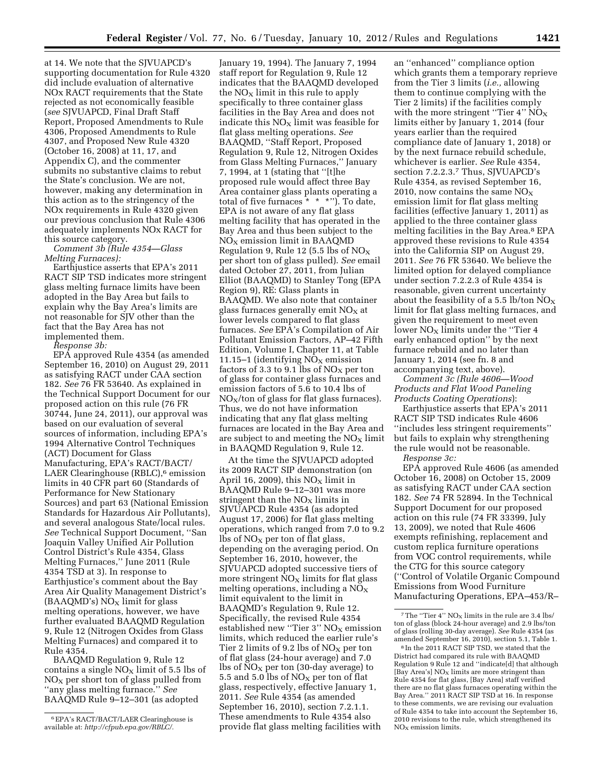at 14. We note that the SJVUAPCD's supporting documentation for Rule 4320 did include evaluation of alternative NOx RACT requirements that the State rejected as not economically feasible (*see* SJVUAPCD, Final Draft Staff Report, Proposed Amendments to Rule 4306, Proposed Amendments to Rule 4307, and Proposed New Rule 4320 (October 16, 2008) at 11, 17, and Appendix C), and the commenter submits no substantive claims to rebut the State's conclusion. We are not, however, making any determination in this action as to the stringency of the NOx requirements in Rule 4320 given our previous conclusion that Rule 4306 adequately implements NOx RACT for this source category.

*Comment 3b (Rule 4354—Glass Melting Furnaces):* 

Earthjustice asserts that EPA's 2011 RACT SIP TSD indicates more stringent glass melting furnace limits have been adopted in the Bay Area but fails to explain why the Bay Area's limits are not reasonable for SJV other than the fact that the Bay Area has not implemented them.

*Response 3b:* 

EPA approved Rule 4354 (as amended September 16, 2010) on August 29, 2011 as satisfying RACT under CAA section 182. *See* 76 FR 53640. As explained in the Technical Support Document for our proposed action on this rule (76 FR 30744, June 24, 2011), our approval was based on our evaluation of several sources of information, including EPA's 1994 Alternative Control Techniques (ACT) Document for Glass Manufacturing, EPA's RACT/BACT/ LAER Clearinghouse (RBLC),<sup>6</sup> emission limits in 40 CFR part 60 (Standards of Performance for New Stationary Sources) and part 63 (National Emission Standards for Hazardous Air Pollutants), and several analogous State/local rules. *See* Technical Support Document, ''San Joaquin Valley Unified Air Pollution Control District's Rule 4354, Glass Melting Furnaces,'' June 2011 (Rule 4354 TSD at 3). In response to Earthjustice's comment about the Bay Area Air Quality Management District's  $(BAAQMD's) NO<sub>X</sub> limit for glass$ melting operations, however, we have further evaluated BAAQMD Regulation 9, Rule 12 (Nitrogen Oxides from Glass Melting Furnaces) and compared it to Rule 4354.

BAAQMD Regulation 9, Rule 12 contains a single  $NO<sub>x</sub>$  limit of 5.5 lbs of  $NO<sub>x</sub>$  per short ton of glass pulled from ''any glass melting furnace.'' *See*  BAAQMD Rule 9–12–301 (as adopted

January 19, 1994). The January 7, 1994 staff report for Regulation 9, Rule 12 indicates that the BAAQMD developed the  $NO<sub>x</sub>$  limit in this rule to apply specifically to three container glass facilities in the Bay Area and does not indicate this  $NO<sub>x</sub>$  limit was feasible for flat glass melting operations. *See*  BAAQMD, ''Staff Report, Proposed Regulation 9, Rule 12, Nitrogen Oxides from Glass Melting Furnaces,'' January 7, 1994, at 1 (stating that ''[t]he proposed rule would affect three Bay Area container glass plants operating a total of five furnaces \* \* \*''). To date, EPA is not aware of any flat glass melting facility that has operated in the Bay Area and thus been subject to the  $NO<sub>X</sub>$  emission limit in BAAQMD Regulation 9, Rule 12 (5.5 lbs of  $NO<sub>X</sub>$ per short ton of glass pulled). *See* email dated October 27, 2011, from Julian Elliot (BAAQMD) to Stanley Tong (EPA Region 9), RE: Glass plants in BAAQMD. We also note that container glass furnaces generally emit  $NO<sub>x</sub>$  at lower levels compared to flat glass furnaces. *See* EPA's Compilation of Air Pollutant Emission Factors, AP–42 Fifth Edition, Volume I, Chapter 11, at Table 11.15–1 (identifying  $NO<sub>x</sub>$  emission factors of 3.3 to 9.1 lbs of  $NO<sub>x</sub>$  per ton of glass for container glass furnaces and emission factors of 5.6 to 10.4 lbs of  $NO<sub>X</sub>/ton$  of glass for flat glass furnaces). Thus, we do not have information indicating that any flat glass melting furnaces are located in the Bay Area and are subject to and meeting the  $NO<sub>x</sub>$  limit in BAAQMD Regulation 9, Rule 12.

At the time the SJVUAPCD adopted its 2009 RACT SIP demonstration (on April 16, 2009), this  $NO<sub>X</sub>$  limit in BAAQMD Rule 9–12–301 was more stringent than the  $NO<sub>x</sub>$  limits in SJVUAPCD Rule 4354 (as adopted August 17, 2006) for flat glass melting operations, which ranged from 7.0 to 9.2 lbs of  $NO<sub>x</sub>$  per ton of flat glass, depending on the averaging period. On September 16, 2010, however, the SJVUAPCD adopted successive tiers of more stringent  $NO<sub>x</sub>$  limits for flat glass melting operations, including a  $NO<sub>x</sub>$ limit equivalent to the limit in BAAQMD's Regulation 9, Rule 12. Specifically, the revised Rule 4354 established new "Tier  $3$ " NO<sub>X</sub> emission limits, which reduced the earlier rule's Tier 2 limits of 9.2 lbs of  $NO_X$  per ton of flat glass (24-hour average) and 7.0 lbs of  $NO<sub>X</sub>$  per ton (30-day average) to 5.5 and 5.0 lbs of  $NO<sub>X</sub>$  per ton of flat glass, respectively, effective January 1, 2011. *See* Rule 4354 (as amended September 16, 2010), section 7.2.1.1. These amendments to Rule 4354 also provide flat glass melting facilities with

an ''enhanced'' compliance option which grants them a temporary reprieve from the Tier 3 limits (*i.e.,* allowing them to continue complying with the Tier 2 limits) if the facilities comply with the more stringent "Tier 4"  $NO_X$ limits either by January 1, 2014 (four years earlier than the required compliance date of January 1, 2018) or by the next furnace rebuild schedule, whichever is earlier. *See* Rule 4354, section 7.2.2.3.7 Thus, SJVUAPCD's Rule 4354, as revised September 16, 2010, now contains the same  $NO<sub>x</sub>$ emission limit for flat glass melting facilities (effective January 1, 2011) as applied to the three container glass melting facilities in the Bay Area.8 EPA approved these revisions to Rule 4354 into the California SIP on August 29, 2011. *See* 76 FR 53640. We believe the limited option for delayed compliance under section 7.2.2.3 of Rule 4354 is reasonable, given current uncertainty about the feasibility of a 5.5 lb/ton  $NO<sub>x</sub>$ limit for flat glass melting furnaces, and given the requirement to meet even lower  $NO<sub>x</sub>$  limits under the "Tier 4 early enhanced option'' by the next furnace rebuild and no later than January 1, 2014 (see fn. 8 and accompanying text, above).

*Comment 3c (Rule 4606—Wood Products and Flat Wood Paneling Products Coating Operations*):

Earthjustice asserts that EPA's 2011 RACT SIP TSD indicates Rule 4606 ''includes less stringent requirements'' but fails to explain why strengthening the rule would not be reasonable.

*Response 3c:* 

EPA approved Rule 4606 (as amended October 16, 2008) on October 15, 2009 as satisfying RACT under CAA section 182. *See* 74 FR 52894. In the Technical Support Document for our proposed action on this rule (74 FR 33399, July 13, 2009), we noted that Rule 4606 exempts refinishing, replacement and custom replica furniture operations from VOC control requirements, while the CTG for this source category (''Control of Volatile Organic Compound Emissions from Wood Furniture Manufacturing Operations, EPA–453/R–

<sup>6</sup>EPA's RACT/BACT/LAER Clearinghouse is available at: *[http://cfpub.epa.gov/RBLC/.](http://cfpub.epa.gov/RBLC/)* 

 $^7$  The ''Tier 4''  $\rm NO_X$  limits in the rule are 3.4 lbs/ ton of glass (block 24-hour average) and 2.9 lbs/ton of glass (rolling 30-day average). *See* Rule 4354 (as amended September 16, 2010), section 5.1, Table 1.

<sup>8</sup> In the 2011 RACT SIP TSD, we stated that the District had compared its rule with BAAQMD Regulation 9 Rule 12 and ''indicate[d] that although [Bay Area's]  $NO<sub>x</sub>$  limits are more stringent than Rule 4354 for flat glass, [Bay Area] staff verified there are no flat glass furnaces operating within the Bay Area.'' 2011 RACT SIP TSD at 16. In response to these comments, we are revising our evaluation of Rule 4354 to take into account the September 16, 2010 revisions to the rule, which strengthened its  $NO<sub>x</sub>$  emission limits.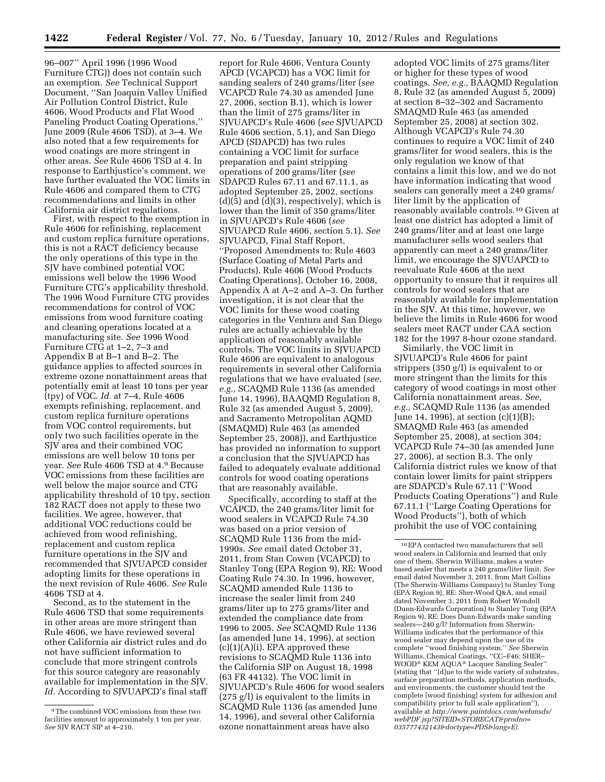96–007'' April 1996 (1996 Wood Furniture CTG)) does not contain such an exemption. *See* Technical Support Document, ''San Joaquin Valley Unified Air Pollution Control District, Rule 4606, Wood Products and Flat Wood Paneling Product Coating Operations,'' June 2009 (Rule 4606 TSD), at 3–4. We also noted that a few requirements for wood coatings are more stringent in other areas. *See* Rule 4606 TSD at 4. In response to Earthjustice's comment, we have further evaluated the VOC limits in Rule 4606 and compared them to CTG recommendations and limits in other California air district regulations.

First, with respect to the exemption in Rule 4606 for refinishing, replacement and custom replica furniture operations, this is not a RACT deficiency because the only operations of this type in the SJV have combined potential VOC emissions well below the 1996 Wood Furniture CTG's applicability threshold. The 1996 Wood Furniture CTG provides recommendations for control of VOC emissions from wood furniture coating and cleaning operations located at a manufacturing site. *See* 1996 Wood Furniture CTG at 1–2, 7–3 and Appendix B at B–1 and B–2. The guidance applies to affected sources in extreme ozone nonattainment areas that potentially emit at least 10 tons per year (tpy) of VOC. *Id.* at 7–4. Rule 4606 exempts refinishing, replacement, and custom replica furniture operations from VOC control requirements, but only two such facilities operate in the SJV area and their combined VOC emissions are well below 10 tons per year. *See* Rule 4606 TSD at 4.9 Because VOC emissions from these facilities are well below the major source and CTG applicability threshold of 10 tpy, section 182 RACT does not apply to these two facilities. We agree, however, that additional VOC reductions could be achieved from wood refinishing, replacement and custom replica furniture operations in the SJV and recommended that SJVUAPCD consider adopting limits for these operations in the next revision of Rule 4606. *See* Rule 4606 TSD at 4.

Second, as to the statement in the Rule 4606 TSD that some requirements in other areas are more stringent than Rule 4606, we have reviewed several other California air district rules and do not have sufficient information to conclude that more stringent controls for this source category are reasonably available for implementation in the SJV. Id. According to SJVUAPCD's final staff report for Rule 4606, Ventura County APCD (VCAPCD) has a VOC limit for sanding sealers of 240 grams/liter (*see*  VCAPCD Rule 74.30 as amended June 27, 2006, section B.1), which is lower than the limit of 275 grams/liter in SJVUAPCD's Rule 4606 (*see* SJVUAPCD Rule 4606 section, 5.1), and San Diego APCD (SDAPCD) has two rules containing a VOC limit for surface preparation and paint stripping operations of 200 grams/liter (*see*  SDAPCD Rules 67.11 and 67.11.1, as adopted September 25, 2002, sections  $(d)(5)$  and  $(d)(3)$ , respectively), which is lower than the limit of 350 grams/liter in SJVUAPCD's Rule 4606 (*see*  SJVUAPCD Rule 4606, section 5.1). *See*  SJVUAPCD, Final Staff Report, ''Proposed Amendments to: Rule 4603 (Surface Coating of Metal Parts and Products), Rule 4606 (Wood Products Coating Operations), October 16, 2008, Appendix A at A–2 and A–3. On further investigation, it is not clear that the VOC limits for these wood coating categories in the Ventura and San Diego rules are actually achievable by the application of reasonably available controls. The VOC limits in SJVUAPCD Rule 4606 are equivalent to analogous requirements in several other California regulations that we have evaluated (*see, e.g.,* SCAQMD Rule 1136 (as amended June 14, 1996), BAAQMD Regulation 8, Rule 32 (as amended August 5, 2009), and Sacramento Metropolitan AQMD (SMAQMD) Rule 463 (as amended September 25, 2008)), and Earthjustice has provided no information to support a conclusion that the SJVUAPCD has failed to adequately evaluate additional controls for wood coating operations that are reasonably available.

Specifically, according to staff at the VCAPCD, the 240 grams/liter limit for wood sealers in VCAPCD Rule 74.30 was based on a prior version of SCAQMD Rule 1136 from the mid-1990s. *See* email dated October 31, 2011, from Stan Cowen (VCAPCD) to Stanley Tong (EPA Region 9), RE: Wood Coating Rule 74.30. In 1996, however, SCAQMD amended Rule 1136 to increase the sealer limit from 240 grams/liter up to 275 grams/liter and extended the compliance date from 1996 to 2005. *See* SCAQMD Rule 1136 (as amended June 14, 1996), at section  $(c)(1)(A)(i)$ . EPA approved these revisions to SCAQMD Rule 1136 into the California SIP on August 18, 1998 (63 FR 44132). The VOC limit in SJVUAPCD's Rule 4606 for wood sealers (275 g/l) is equivalent to the limits in SCAQMD Rule 1136 (as amended June 14, 1996), and several other California ozone nonattainment areas have also

adopted VOC limits of 275 grams/liter or higher for these types of wood coatings. *See, e.g.,* BAAQMD Regulation 8, Rule 32 (as amended August 5, 2009) at section 8–32–302 and Sacramento SMAQMD Rule 463 (as amended September 25, 2008) at section 302. Although VCAPCD's Rule 74.30 continues to require a VOC limit of 240 grams/liter for wood sealers, this is the only regulation we know of that contains a limit this low, and we do not have information indicating that wood sealers can generally meet a 240 grams/ liter limit by the application of reasonably available controls.10 Given at least one district has adopted a limit of 240 grams/liter and at least one large manufacturer sells wood sealers that apparently can meet a 240 grams/liter limit, we encourage the SJVUAPCD to reevaluate Rule 4606 at the next opportunity to ensure that it requires all controls for wood sealers that are reasonably available for implementation in the SJV. At this time, however, we believe the limits in Rule 4606 for wood sealers meet RACT under CAA section 182 for the 1997 8-hour ozone standard.

Similarly, the VOC limit in SJVUAPCD's Rule 4606 for paint strippers (350 g/l) is equivalent to or more stringent than the limits for this category of wood coatings in most other California nonattainment areas. *See, e.g.,* SCAQMD Rule 1136 (as amended June 14, 1996), at section (c)(1)(B); SMAQMD Rule 463 (as amended September 25, 2008), at section 304; VCAPCD Rule 74–30 (as amended June 27, 2006), at section B.3. The only California district rules we know of that contain lower limits for paint strippers are SDAPCD's Rule 67.11 (''Wood Products Coating Operations'') and Rule 67.11.1 (''Large Coating Operations for Wood Products''), both of which prohibit the use of VOC containing

<sup>9</sup>The combined VOC emissions from these two facilities amount to approximately 1 ton per year. *See* SJV RACT SIP at 4–210.

<sup>10</sup>EPA contacted two manufacturers that sell wood sealers in California and learned that only one of them, Sherwin Williams, makes a waterbased sealer that meets a 240 grams/liter limit. *See*  email dated November 3, 2011, from Matt Collins (The Sherwin-Williams Company) to Stanley Tong (EPA Region 9), RE: Sher-Wood Q&A, and email dated November 3, 2011 from Robert Wendoll (Dunn-Edwards Corporation) to Stanley Tong (EPA Region 9), RE: Does Dunn-Edwards make sanding sealers—240 g/l? Information from Sherwin-Williams indicates that the performance of this wood sealer may depend upon the use of its complete ''wood finishing system.'' *See* Sherwin Williams, Chemical Coatings, ''CC–F46: SHER– WOOD® KEM AQUA® Lacquer Sanding Sealer'' (stating that ''[d]ue to the wide variety of substrates, surface preparation methods, application methods, and environments, the customer should test the complete [wood finishing] system for adhesion and compatibility prior to full scale application''), available at *[http://www.paintdocs.com/webmsds/](http://www.paintdocs.com/webmsds/webPDF.jsp?SITEID=STORECAT&prodno=035777432143&doctype=PDS&lang=E) [webPDF.jsp?SITEID=STORECAT&prodno=](http://www.paintdocs.com/webmsds/webPDF.jsp?SITEID=STORECAT&prodno=035777432143&doctype=PDS&lang=E) [035777432143&doctype=PDS&lang=E\).](http://www.paintdocs.com/webmsds/webPDF.jsp?SITEID=STORECAT&prodno=035777432143&doctype=PDS&lang=E)*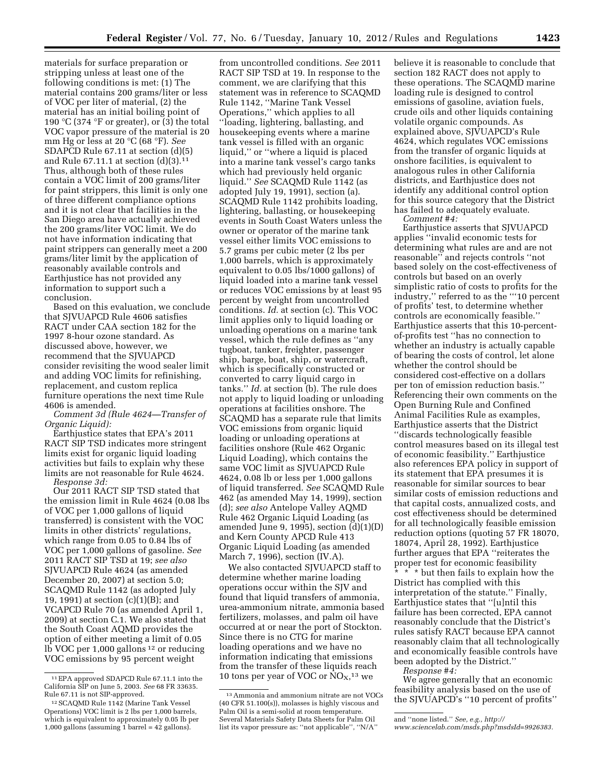materials for surface preparation or stripping unless at least one of the following conditions is met: (1) The material contains 200 grams/liter or less of VOC per liter of material, (2) the material has an initial boiling point of 190 °C (374 °F or greater), or (3) the total VOC vapor pressure of the material is 20 mm Hg or less at 20 °C (68 °F). *See*  SDAPCD Rule 67.11 at section (d)(5) and Rule 67.11.1 at section (d)(3).11 Thus, although both of these rules contain a VOC limit of 200 grams/liter for paint strippers, this limit is only one of three different compliance options and it is not clear that facilities in the San Diego area have actually achieved the 200 grams/liter VOC limit. We do not have information indicating that paint strippers can generally meet a 200 grams/liter limit by the application of reasonably available controls and Earthjustice has not provided any information to support such a conclusion.

Based on this evaluation, we conclude that SJVUAPCD Rule 4606 satisfies RACT under CAA section 182 for the 1997 8-hour ozone standard. As discussed above, however, we recommend that the SJVUAPCD consider revisiting the wood sealer limit and adding VOC limits for refinishing, replacement, and custom replica furniture operations the next time Rule 4606 is amended.

*Comment 3d (Rule 4624—Transfer of Organic Liquid):* 

Earthjustice states that EPA's 2011 RACT SIP TSD indicates more stringent limits exist for organic liquid loading activities but fails to explain why these limits are not reasonable for Rule 4624. *Response 3d:* 

Our 2011 RACT SIP TSD stated that the emission limit in Rule 4624 (0.08 lbs of VOC per 1,000 gallons of liquid transferred) is consistent with the VOC limits in other districts' regulations, which range from 0.05 to 0.84 lbs of VOC per 1,000 gallons of gasoline. *See*  2011 RACT SIP TSD at 19; *see also*  SJVUAPCD Rule 4624 (as amended December 20, 2007) at section 5.0; SCAQMD Rule 1142 (as adopted July 19, 1991) at section (c)(1)(B); and VCAPCD Rule 70 (as amended April 1, 2009) at section C.1. We also stated that the South Coast AQMD provides the option of either meeting a limit of 0.05 lb VOC per 1,000 gallons 12 or reducing VOC emissions by 95 percent weight

from uncontrolled conditions. *See* 2011 RACT SIP TSD at 19. In response to the comment, we are clarifying that this statement was in reference to SCAQMD Rule 1142, ''Marine Tank Vessel Operations,'' which applies to all ''loading, lightering, ballasting, and housekeeping events where a marine tank vessel is filled with an organic liquid,'' or ''where a liquid is placed into a marine tank vessel's cargo tanks which had previously held organic liquid.'' *See* SCAQMD Rule 1142 (as adopted July 19, 1991), section (a). SCAQMD Rule 1142 prohibits loading, lightering, ballasting, or housekeeping events in South Coast Waters unless the owner or operator of the marine tank vessel either limits VOC emissions to 5.7 grams per cubic meter (2 lbs per 1,000 barrels, which is approximately equivalent to 0.05 lbs/1000 gallons) of liquid loaded into a marine tank vessel or reduces VOC emissions by at least 95 percent by weight from uncontrolled conditions. *Id.* at section (c). This VOC limit applies only to liquid loading or unloading operations on a marine tank vessel, which the rule defines as ''any tugboat, tanker, freighter, passenger ship, barge, boat, ship, or watercraft, which is specifically constructed or converted to carry liquid cargo in tanks.'' *Id.* at section (b). The rule does not apply to liquid loading or unloading operations at facilities onshore. The SCAQMD has a separate rule that limits VOC emissions from organic liquid loading or unloading operations at facilities onshore (Rule 462 Organic Liquid Loading), which contains the same VOC limit as SJVUAPCD Rule 4624, 0.08 lb or less per 1,000 gallons of liquid transferred. *See* SCAQMD Rule 462 (as amended May 14, 1999), section (d); *see also* Antelope Valley AQMD Rule 462 Organic Liquid Loading (as amended June 9, 1995), section  $(d)(1)(D)$ and Kern County APCD Rule 413 Organic Liquid Loading (as amended March 7, 1996), section (IV.A).

We also contacted SJVUAPCD staff to determine whether marine loading operations occur within the SJV and found that liquid transfers of ammonia, urea-ammonium nitrate, ammonia based fertilizers, molasses, and palm oil have occurred at or near the port of Stockton. Since there is no CTG for marine loading operations and we have no information indicating that emissions from the transfer of these liquids reach 10 tons per year of VOC or  $NO<sub>X</sub>,<sup>13</sup>$  we

believe it is reasonable to conclude that section 182 RACT does not apply to these operations. The SCAQMD marine loading rule is designed to control emissions of gasoline, aviation fuels, crude oils and other liquids containing volatile organic compounds. As explained above, SJVUAPCD's Rule 4624, which regulates VOC emissions from the transfer of organic liquids at onshore facilities, is equivalent to analogous rules in other California districts, and Earthjustice does not identify any additional control option for this source category that the District has failed to adequately evaluate. *Comment #4:* 

Earthjustice asserts that SJVUAPCD applies ''invalid economic tests for determining what rules are and are not reasonable'' and rejects controls ''not based solely on the cost-effectiveness of controls but based on an overly simplistic ratio of costs to profits for the industry,'' referred to as the '''10 percent of profits' test, to determine whether controls are economically feasible.'' Earthjustice asserts that this 10-percentof-profits test ''has no connection to whether an industry is actually capable of bearing the costs of control, let alone whether the control should be considered cost-effective on a dollars per ton of emission reduction basis.'' Referencing their own comments on the Open Burning Rule and Confined Animal Facilities Rule as examples, Earthjustice asserts that the District ''discards technologically feasible control measures based on its illegal test of economic feasibility.'' Earthjustice also references EPA policy in support of its statement that EPA presumes it is reasonable for similar sources to bear similar costs of emission reductions and that capital costs, annualized costs, and cost effectiveness should be determined for all technologically feasible emission reduction options (quoting 57 FR 18070, 18074, April 28, 1992). Earthjustice further argues that EPA ''reiterates the proper test for economic feasibility  $\frac{1}{x}$   $\frac{1}{x}$   $\frac{1}{x}$  but then fails to explain how the District has complied with this interpretation of the statute.'' Finally, Earthjustice states that ''[u]ntil this failure has been corrected, EPA cannot reasonably conclude that the District's rules satisfy RACT because EPA cannot reasonably claim that all technologically and economically feasible controls have been adopted by the District.''

*Response #4:* 

We agree generally that an economic feasibility analysis based on the use of the SJVUAPCD's ''10 percent of profits''

<sup>11</sup>EPA approved SDAPCD Rule 67.11.1 into the California SIP on June 5, 2003. *See* 68 FR 33635. Rule 67.11 is not SIP-approved.

<sup>12</sup>SCAQMD Rule 1142 (Marine Tank Vessel Operations) VOC limit is 2 lbs per 1,000 barrels, which is equivalent to approximately 0.05 lb per 1,000 gallons (assuming 1 barrel =  $42$  gallons).

<sup>13</sup>Ammonia and ammonium nitrate are not VOCs (40 CFR 51.100(s)), molasses is highly viscous and Palm Oil is a semi-solid at room temperature. Several Materials Safety Data Sheets for Palm Oil list its vapor pressure as: ''not applicable'', ''N/A''

and ''none listed.'' *See, e.g., [http://](http://www.sciencelab.com/msds.php?msdsId=9926383)* 

*[www.sciencelab.com/msds.php?msdsId=9926383.](http://www.sciencelab.com/msds.php?msdsId=9926383)*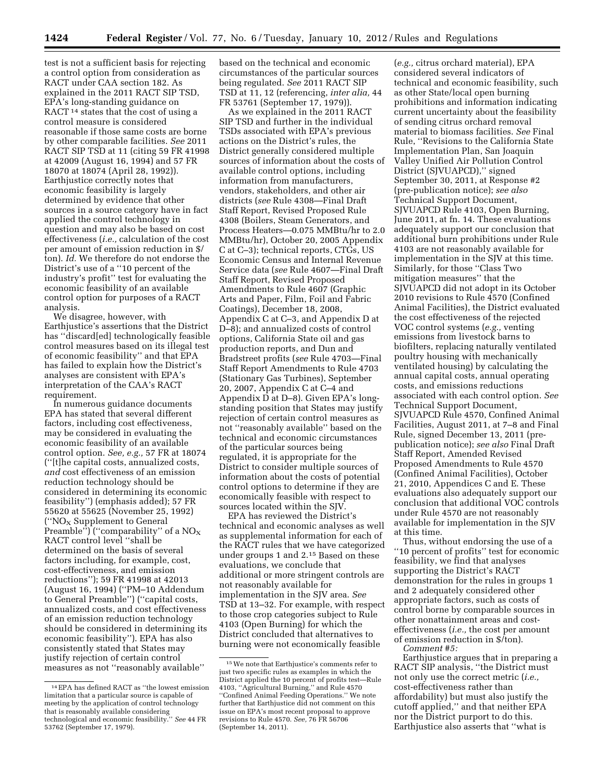test is not a sufficient basis for rejecting a control option from consideration as RACT under CAA section 182. As explained in the 2011 RACT SIP TSD, EPA's long-standing guidance on RACT<sup>14</sup> states that the cost of using a control measure is considered reasonable if those same costs are borne by other comparable facilities. *See* 2011 RACT SIP TSD at 11 (citing 59 FR 41998 at 42009 (August 16, 1994) and 57 FR 18070 at 18074 (April 28, 1992)). Earthjustice correctly notes that economic feasibility is largely determined by evidence that other sources in a source category have in fact applied the control technology in question and may also be based on cost effectiveness (*i.e.,* calculation of the cost per amount of emission reduction in \$/ ton). *Id.* We therefore do not endorse the District's use of a ''10 percent of the industry's profit'' test for evaluating the economic feasibility of an available control option for purposes of a RACT analysis.

We disagree, however, with Earthjustice's assertions that the District has ''discard[ed] technologically feasible control measures based on its illegal test of economic feasibility'' and that EPA has failed to explain how the District's analyses are consistent with EPA's interpretation of the CAA's RACT requirement.

In numerous guidance documents EPA has stated that several different factors, including cost effectiveness, may be considered in evaluating the economic feasibility of an available control option. *See, e.g.,* 57 FR at 18074 (''[t]he capital costs, annualized costs, *and* cost effectiveness of an emission reduction technology should be considered in determining its economic feasibility'') (emphasis added); 57 FR 55620 at 55625 (November 25, 1992) ("NO<sub>X</sub> Supplement to General Preamble") $^{\prime\prime}$  ("comparability" of a NO<sub>X</sub> RACT control level ''shall be determined on the basis of several factors including, for example, cost, cost-effectiveness, and emission reductions''); 59 FR 41998 at 42013 (August 16, 1994) (''PM–10 Addendum to General Preamble'') (''capital costs, annualized costs, and cost effectiveness of an emission reduction technology should be considered in determining its economic feasibility''). EPA has also consistently stated that States may justify rejection of certain control measures as not ''reasonably available''

based on the technical and economic circumstances of the particular sources being regulated. *See* 2011 RACT SIP TSD at 11, 12 (referencing, *inter alia,* 44 FR 53761 (September 17, 1979)).

As we explained in the 2011 RACT SIP TSD and further in the individual TSDs associated with EPA's previous actions on the District's rules, the District generally considered multiple sources of information about the costs of available control options, including information from manufacturers, vendors, stakeholders, and other air districts (*see* Rule 4308—Final Draft Staff Report, Revised Proposed Rule 4308 (Boilers, Steam Generators, and Process Heaters—0.075 MMBtu/hr to 2.0 MMBtu/hr), October 20, 2005 Appendix C at C–3); technical reports, CTGs, US Economic Census and Internal Revenue Service data (*see* Rule 4607—Final Draft Staff Report, Revised Proposed Amendments to Rule 4607 (Graphic Arts and Paper, Film, Foil and Fabric Coatings), December 18, 2008, Appendix C at C–3, and Appendix D at D–8); and annualized costs of control options, California State oil and gas production reports, and Dun and Bradstreet profits (*see* Rule 4703—Final Staff Report Amendments to Rule 4703 (Stationary Gas Turbines), September 20, 2007, Appendix C at C–4 and Appendix D at D–8). Given EPA's longstanding position that States may justify rejection of certain control measures as not ''reasonably available'' based on the technical and economic circumstances of the particular sources being regulated, it is appropriate for the District to consider multiple sources of information about the costs of potential control options to determine if they are economically feasible with respect to sources located within the SJV.

EPA has reviewed the District's technical and economic analyses as well as supplemental information for each of the RACT rules that we have categorized under groups 1 and 2.15 Based on these evaluations, we conclude that additional or more stringent controls are not reasonably available for implementation in the SJV area. *See*  TSD at 13–32. For example, with respect to those crop categories subject to Rule 4103 (Open Burning) for which the District concluded that alternatives to burning were not economically feasible

(*e.g.,* citrus orchard material), EPA considered several indicators of technical and economic feasibility, such as other State/local open burning prohibitions and information indicating current uncertainty about the feasibility of sending citrus orchard removal material to biomass facilities. *See* Final Rule, ''Revisions to the California State Implementation Plan, San Joaquin Valley Unified Air Pollution Control District (SJVUAPCD)," signed September 30, 2011, at Response #2 (pre-publication notice); *see also*  Technical Support Document, SJVUAPCD Rule 4103, Open Burning, June 2011, at fn. 14. These evaluations adequately support our conclusion that additional burn prohibitions under Rule 4103 are not reasonably available for implementation in the SJV at this time. Similarly, for those ''Class Two mitigation measures'' that the SJVUAPCD did not adopt in its October 2010 revisions to Rule 4570 (Confined Animal Facilities), the District evaluated the cost effectiveness of the rejected VOC control systems (*e.g.,* venting emissions from livestock barns to biofilters, replacing naturally ventilated poultry housing with mechanically ventilated housing) by calculating the annual capital costs, annual operating costs, and emissions reductions associated with each control option. *See*  Technical Support Document, SJVUAPCD Rule 4570, Confined Animal Facilities, August 2011, at 7–8 and Final Rule, signed December 13, 2011 (prepublication notice); *see also* Final Draft Staff Report, Amended Revised Proposed Amendments to Rule 4570 (Confined Animal Facilities), October 21, 2010, Appendices C and E. These evaluations also adequately support our conclusion that additional VOC controls under Rule 4570 are not reasonably available for implementation in the SJV at this time.

Thus, without endorsing the use of a ''10 percent of profits'' test for economic feasibility, we find that analyses supporting the District's RACT demonstration for the rules in groups 1 and 2 adequately considered other appropriate factors, such as costs of control borne by comparable sources in other nonattainment areas and costeffectiveness (*i.e.,* the cost per amount of emission reduction in \$/ton).

*Comment #5:* 

Earthjustice argues that in preparing a RACT SIP analysis, ''the District must not only use the correct metric (*i.e.,*  cost-effectiveness rather than affordability) but must also justify the cutoff applied,'' and that neither EPA nor the District purport to do this. Earthjustice also asserts that ''what is

<sup>14</sup>EPA has defined RACT as ''the lowest emission limitation that a particular source is capable of meeting by the application of control technology that is reasonably available considering technological and economic feasibility.'' *See* 44 FR 53762 (September 17, 1979).

<sup>15</sup>We note that Earthjustice's comments refer to just two specific rules as examples in which the District applied the 10 percent of profits test—Rule 4103, ''Agricultural Burning,'' and Rule 4570 ''Confined Animal Feeding Operations.'' We note further that Earthjustice did not comment on this issue on EPA's most recent proposal to approve revisions to Rule 4570. *See,* 76 FR 56706 (September 14, 2011).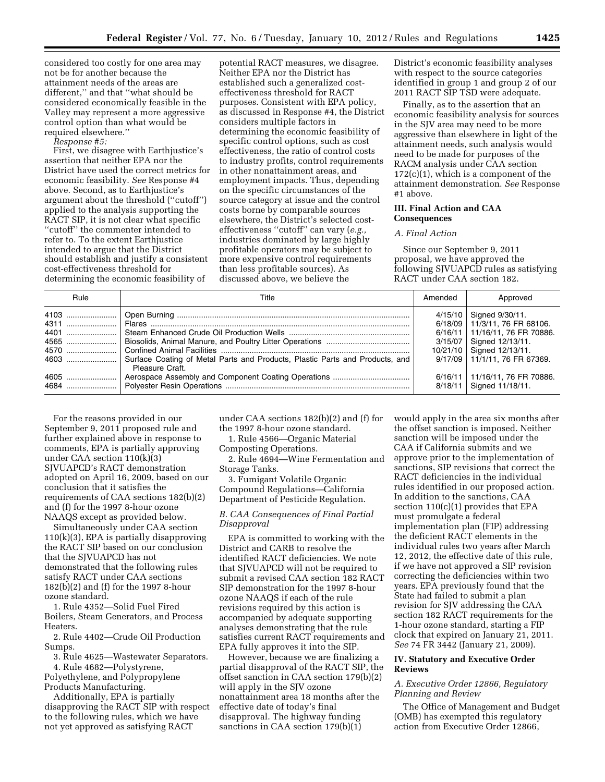considered too costly for one area may not be for another because the attainment needs of the areas are different,'' and that ''what should be considered economically feasible in the Valley may represent a more aggressive control option than what would be required elsewhere.''

*Response #5:* 

First, we disagree with Earthjustice's assertion that neither EPA nor the District have used the correct metrics for economic feasibility. *See* Response #4 above. Second, as to Earthjustice's argument about the threshold (''cutoff'') applied to the analysis supporting the RACT SIP, it is not clear what specific ''cutoff'' the commenter intended to refer to. To the extent Earthjustice intended to argue that the District should establish and justify a consistent cost-effectiveness threshold for determining the economic feasibility of

potential RACT measures, we disagree. Neither EPA nor the District has established such a generalized costeffectiveness threshold for RACT purposes. Consistent with EPA policy, as discussed in Response #4, the District considers multiple factors in determining the economic feasibility of specific control options, such as cost effectiveness, the ratio of control costs to industry profits, control requirements in other nonattainment areas, and employment impacts. Thus, depending on the specific circumstances of the source category at issue and the control costs borne by comparable sources elsewhere, the District's selected costeffectiveness ''cutoff'' can vary (*e.g.,*  industries dominated by large highly profitable operators may be subject to more expensive control requirements than less profitable sources). As discussed above, we believe the

District's economic feasibility analyses with respect to the source categories identified in group 1 and group 2 of our 2011 RACT SIP TSD were adequate.

Finally, as to the assertion that an economic feasibility analysis for sources in the SJV area may need to be more aggressive than elsewhere in light of the attainment needs, such analysis would need to be made for purposes of the RACM analysis under CAA section  $172(c)(1)$ , which is a component of the attainment demonstration. *See* Response #1 above.

# **III. Final Action and CAA Consequences**

#### *A. Final Action*

Since our September 9, 2011 proposal, we have approved the following SJVUAPCD rules as satisfying RACT under CAA section 182.

| Rule                 | Title                                                                                           | Amended | Approved                                                                                                                                                    |
|----------------------|-------------------------------------------------------------------------------------------------|---------|-------------------------------------------------------------------------------------------------------------------------------------------------------------|
| 4401<br>4565<br>4570 |                                                                                                 |         | 4/15/10   Signed 9/30/11.<br>6/18/09 11/3/11, 76 FR 68106.<br>6/16/11   11/16/11, 76 FR 70886.<br>3/15/07   Signed 12/13/11.<br>10/21/10   Signed 12/13/11. |
|                      | Surface Coating of Metal Parts and Products, Plastic Parts and Products, and<br>Pleasure Craft. |         | 9/17/09 11/1/11, 76 FR 67369.                                                                                                                               |
| 4605                 |                                                                                                 |         | 6/16/11 11/16/11, 76 FR 70886.<br>8/18/11   Signed 11/18/11.                                                                                                |

For the reasons provided in our September 9, 2011 proposed rule and further explained above in response to comments, EPA is partially approving under CAA section 110(k)(3) SJVUAPCD's RACT demonstration adopted on April 16, 2009, based on our conclusion that it satisfies the requirements of CAA sections 182(b)(2) and (f) for the 1997 8-hour ozone NAAQS except as provided below.

Simultaneously under CAA section 110(k)(3), EPA is partially disapproving the RACT SIP based on our conclusion that the SJVUAPCD has not demonstrated that the following rules satisfy RACT under CAA sections 182(b)(2) and (f) for the 1997 8-hour ozone standard.

1. Rule 4352—Solid Fuel Fired Boilers, Steam Generators, and Process Heaters.

2. Rule 4402—Crude Oil Production Sumps.

3. Rule 4625—Wastewater Separators. 4. Rule 4682—Polystyrene,

Polyethylene, and Polypropylene Products Manufacturing.

Additionally, EPA is partially disapproving the RACT SIP with respect to the following rules, which we have not yet approved as satisfying RACT

under CAA sections 182(b)(2) and (f) for the 1997 8-hour ozone standard.

1. Rule 4566—Organic Material Composting Operations.

2. Rule 4694—Wine Fermentation and Storage Tanks.

3. Fumigant Volatile Organic Compound Regulations—California Department of Pesticide Regulation.

# *B. CAA Consequences of Final Partial Disapproval*

EPA is committed to working with the District and CARB to resolve the identified RACT deficiencies. We note that SJVUAPCD will not be required to submit a revised CAA section 182 RACT SIP demonstration for the 1997 8-hour ozone NAAQS if each of the rule revisions required by this action is accompanied by adequate supporting analyses demonstrating that the rule satisfies current RACT requirements and EPA fully approves it into the SIP.

However, because we are finalizing a partial disapproval of the RACT SIP, the offset sanction in CAA section 179(b)(2) will apply in the SJV ozone nonattainment area 18 months after the effective date of today's final disapproval. The highway funding sanctions in CAA section 179(b)(1)

would apply in the area six months after the offset sanction is imposed. Neither sanction will be imposed under the CAA if California submits and we approve prior to the implementation of sanctions, SIP revisions that correct the RACT deficiencies in the individual rules identified in our proposed action. In addition to the sanctions, CAA section 110(c)(1) provides that EPA must promulgate a federal implementation plan (FIP) addressing the deficient RACT elements in the individual rules two years after March 12, 2012, the effective date of this rule, if we have not approved a SIP revision correcting the deficiencies within two years. EPA previously found that the State had failed to submit a plan revision for SJV addressing the CAA section 182 RACT requirements for the 1-hour ozone standard, starting a FIP clock that expired on January 21, 2011. *See* 74 FR 3442 (January 21, 2009).

## **IV. Statutory and Executive Order Reviews**

## *A. Executive Order 12866, Regulatory Planning and Review*

The Office of Management and Budget (OMB) has exempted this regulatory action from Executive Order 12866,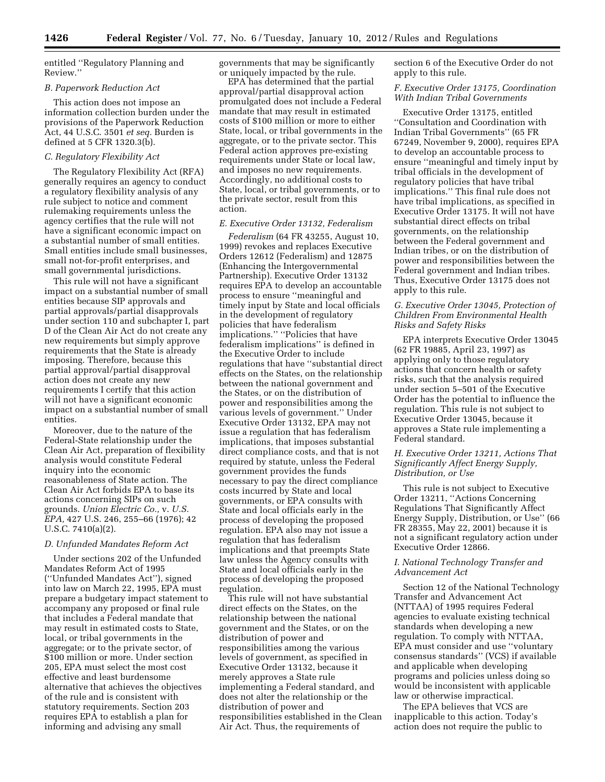entitled ''Regulatory Planning and Review.''

## *B. Paperwork Reduction Act*

This action does not impose an information collection burden under the provisions of the Paperwork Reduction Act, 44 U.S.C. 3501 *et seq.* Burden is defined at 5 CFR 1320.3(b).

## *C. Regulatory Flexibility Act*

The Regulatory Flexibility Act (RFA) generally requires an agency to conduct a regulatory flexibility analysis of any rule subject to notice and comment rulemaking requirements unless the agency certifies that the rule will not have a significant economic impact on a substantial number of small entities. Small entities include small businesses, small not-for-profit enterprises, and small governmental jurisdictions.

This rule will not have a significant impact on a substantial number of small entities because SIP approvals and partial approvals/partial disapprovals under section 110 and subchapter I, part D of the Clean Air Act do not create any new requirements but simply approve requirements that the State is already imposing. Therefore, because this partial approval/partial disapproval action does not create any new requirements I certify that this action will not have a significant economic impact on a substantial number of small entities.

Moreover, due to the nature of the Federal-State relationship under the Clean Air Act, preparation of flexibility analysis would constitute Federal inquiry into the economic reasonableness of State action. The Clean Air Act forbids EPA to base its actions concerning SIPs on such grounds. *Union Electric Co.,* v. *U.S. EPA,* 427 U.S. 246, 255–66 (1976); 42 U.S.C. 7410(a)(2).

## *D. Unfunded Mandates Reform Act*

Under sections 202 of the Unfunded Mandates Reform Act of 1995 (''Unfunded Mandates Act''), signed into law on March 22, 1995, EPA must prepare a budgetary impact statement to accompany any proposed or final rule that includes a Federal mandate that may result in estimated costs to State, local, or tribal governments in the aggregate; or to the private sector, of \$100 million or more. Under section 205, EPA must select the most cost effective and least burdensome alternative that achieves the objectives of the rule and is consistent with statutory requirements. Section 203 requires EPA to establish a plan for informing and advising any small

governments that may be significantly or uniquely impacted by the rule.

EPA has determined that the partial approval/partial disapproval action promulgated does not include a Federal mandate that may result in estimated costs of \$100 million or more to either State, local, or tribal governments in the aggregate, or to the private sector. This Federal action approves pre-existing requirements under State or local law, and imposes no new requirements. Accordingly, no additional costs to State, local, or tribal governments, or to the private sector, result from this action.

#### *E. Executive Order 13132, Federalism*

*Federalism* (64 FR 43255, August 10, 1999) revokes and replaces Executive Orders 12612 (Federalism) and 12875 (Enhancing the Intergovernmental Partnership). Executive Order 13132 requires EPA to develop an accountable process to ensure ''meaningful and timely input by State and local officials in the development of regulatory policies that have federalism implications.'' ''Policies that have federalism implications'' is defined in the Executive Order to include regulations that have ''substantial direct effects on the States, on the relationship between the national government and the States, or on the distribution of power and responsibilities among the various levels of government.'' Under Executive Order 13132, EPA may not issue a regulation that has federalism implications, that imposes substantial direct compliance costs, and that is not required by statute, unless the Federal government provides the funds necessary to pay the direct compliance costs incurred by State and local governments, or EPA consults with State and local officials early in the process of developing the proposed regulation. EPA also may not issue a regulation that has federalism implications and that preempts State law unless the Agency consults with State and local officials early in the process of developing the proposed regulation.

This rule will not have substantial direct effects on the States, on the relationship between the national government and the States, or on the distribution of power and responsibilities among the various levels of government, as specified in Executive Order 13132, because it merely approves a State rule implementing a Federal standard, and does not alter the relationship or the distribution of power and responsibilities established in the Clean Air Act. Thus, the requirements of

section 6 of the Executive Order do not apply to this rule.

## *F. Executive Order 13175, Coordination With Indian Tribal Governments*

Executive Order 13175, entitled ''Consultation and Coordination with Indian Tribal Governments'' (65 FR 67249, November 9, 2000), requires EPA to develop an accountable process to ensure ''meaningful and timely input by tribal officials in the development of regulatory policies that have tribal implications.'' This final rule does not have tribal implications, as specified in Executive Order 13175. It will not have substantial direct effects on tribal governments, on the relationship between the Federal government and Indian tribes, or on the distribution of power and responsibilities between the Federal government and Indian tribes. Thus, Executive Order 13175 does not apply to this rule.

# *G. Executive Order 13045, Protection of Children From Environmental Health Risks and Safety Risks*

EPA interprets Executive Order 13045 (62 FR 19885, April 23, 1997) as applying only to those regulatory actions that concern health or safety risks, such that the analysis required under section 5–501 of the Executive Order has the potential to influence the regulation. This rule is not subject to Executive Order 13045, because it approves a State rule implementing a Federal standard.

# *H. Executive Order 13211, Actions That Significantly Affect Energy Supply, Distribution, or Use*

This rule is not subject to Executive Order 13211, ''Actions Concerning Regulations That Significantly Affect Energy Supply, Distribution, or Use'' (66 FR 28355, May 22, 2001) because it is not a significant regulatory action under Executive Order 12866.

## *I. National Technology Transfer and Advancement Act*

Section 12 of the National Technology Transfer and Advancement Act (NTTAA) of 1995 requires Federal agencies to evaluate existing technical standards when developing a new regulation. To comply with NTTAA, EPA must consider and use ''voluntary consensus standards'' (VCS) if available and applicable when developing programs and policies unless doing so would be inconsistent with applicable law or otherwise impractical.

The EPA believes that VCS are inapplicable to this action. Today's action does not require the public to